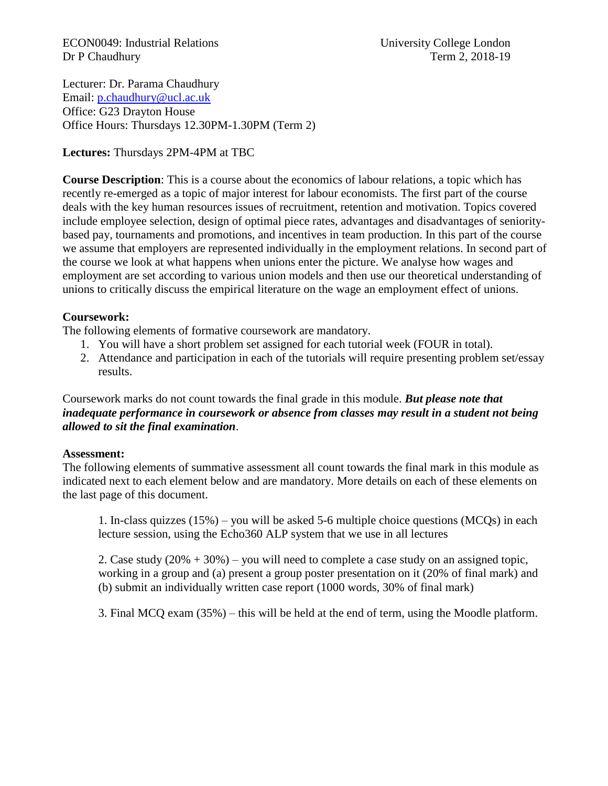ECON0049: Industrial Relations University College London Dr P Chaudhury Term 2, 2018-19

Lecturer: Dr. Parama Chaudhury Email: [p.chaudhury@ucl.ac.uk](mailto:p.chaudhury@ucl.ac.uk) Office: G23 Drayton House Office Hours: Thursdays 12.30PM-1.30PM (Term 2)

**Lectures:** Thursdays 2PM-4PM at TBC

**Course Description**: This is a course about the economics of labour relations, a topic which has recently re-emerged as a topic of major interest for labour economists. The first part of the course deals with the key human resources issues of recruitment, retention and motivation. Topics covered include employee selection, design of optimal piece rates, advantages and disadvantages of senioritybased pay, tournaments and promotions, and incentives in team production. In this part of the course we assume that employers are represented individually in the employment relations. In second part of the course we look at what happens when unions enter the picture. We analyse how wages and employment are set according to various union models and then use our theoretical understanding of unions to critically discuss the empirical literature on the wage an employment effect of unions.

#### **Coursework:**

The following elements of formative coursework are mandatory.

- 1. You will have a short problem set assigned for each tutorial week (FOUR in total).
- 2. Attendance and participation in each of the tutorials will require presenting problem set/essay results.

Coursework marks do not count towards the final grade in this module. *But please note that inadequate performance in coursework or absence from classes may result in a student not being allowed to sit the final examination*.

#### **Assessment:**

The following elements of summative assessment all count towards the final mark in this module as indicated next to each element below and are mandatory. More details on each of these elements on the last page of this document.

1. In-class quizzes (15%) – you will be asked 5-6 multiple choice questions (MCQs) in each lecture session, using the Echo360 ALP system that we use in all lectures

2. Case study (20% + 30%) – you will need to complete a case study on an assigned topic, working in a group and (a) present a group poster presentation on it (20% of final mark) and (b) submit an individually written case report (1000 words, 30% of final mark)

3. Final MCQ exam (35%) – this will be held at the end of term, using the Moodle platform.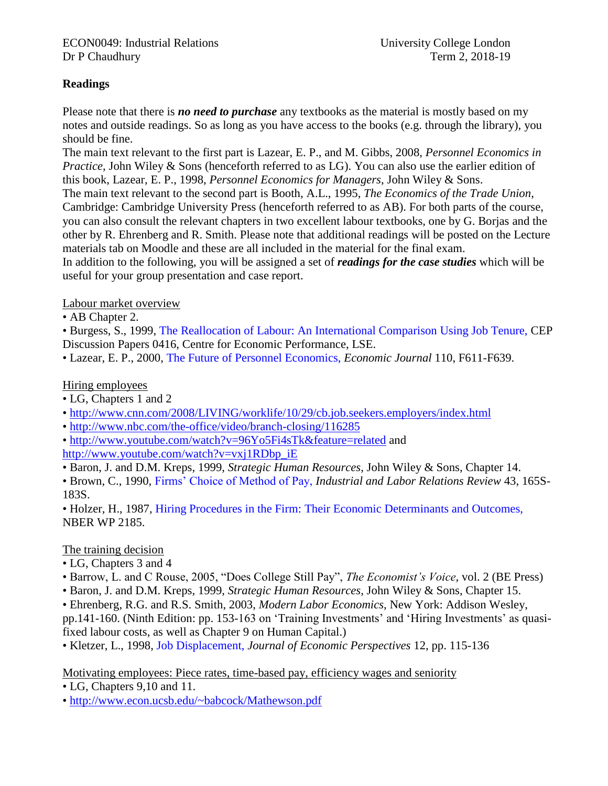# **Readings**

Please note that there is *no need to purchase* any textbooks as the material is mostly based on my notes and outside readings. So as long as you have access to the books (e.g. through the library), you should be fine.

The main text relevant to the first part is Lazear, E. P., and M. Gibbs, 2008, *Personnel Economics in Practice*, John Wiley & Sons (henceforth referred to as LG). You can also use the earlier edition of this book, Lazear, E. P., 1998, *Personnel Economics for Managers*, John Wiley & Sons.

The main text relevant to the second part is Booth, A.L., 1995, *The Economics of the Trade Union*, Cambridge: Cambridge University Press (henceforth referred to as AB). For both parts of the course, you can also consult the relevant chapters in two excellent labour textbooks, one by G. Borjas and the other by R. Ehrenberg and R. Smith. Please note that additional readings will be posted on the Lecture materials tab on Moodle and these are all included in the material for the final exam.

In addition to the following, you will be assigned a set of *readings for the case studies* which will be useful for your group presentation and case report.

Labour market overview

• AB Chapter 2.

• Burgess, S., 1999, The Reallocation of Labour: An International Comparison Using Job Tenure, CEP Discussion Papers 0416, Centre for Economic Performance, LSE.

• Lazear, E. P., 2000, The Future of Personnel Economics, *Economic Journal* 110, F611-F639.

# Hiring employees

- LG, Chapters 1 and 2
- <http://www.cnn.com/2008/LIVING/worklife/10/29/cb.job.seekers.employers/index.html>
- •<http://www.nbc.com/the-office/video/branch-closing/116285>

•<http://www.youtube.com/watch?v=96Yo5Fi4sTk&feature=related> and [http://www.youtube.com/watch?v=vxj1RDbp\\_iE](http://www.youtube.com/watch?v=vxj1RDbp_iE)

• Baron, J. and D.M. Kreps, 1999, *Strategic Human Resources*, John Wiley & Sons, Chapter 14.

• Brown, C., 1990, Firms' Choice of Method of Pay, *Industrial and Labor Relations Review* 43, 165S-183S.

• Holzer, H., 1987, Hiring Procedures in the Firm: Their Economic Determinants and Outcomes, NBER WP 2185.

# The training decision

- LG, Chapters 3 and 4
- Barrow, L. and C Rouse, 2005, "Does College Still Pay", *The Economist's Voice*, vol. 2 (BE Press)
- Baron, J. and D.M. Kreps, 1999, *Strategic Human Resources*, John Wiley & Sons, Chapter 15.
- Ehrenberg, R.G. and R.S. Smith, 2003, *Modern Labor Economics*, New York: Addison Wesley,

pp.141-160. (Ninth Edition: pp. 153-163 on 'Training Investments' and 'Hiring Investments' as quasifixed labour costs, as well as Chapter 9 on Human Capital.)

• Kletzer, L., 1998, Job Displacement, *Journal of Economic Perspectives* 12, pp. 115-136

Motivating employees: Piece rates, time-based pay, efficiency wages and seniority

• LG, Chapters 9,10 and 11.

•<http://www.econ.ucsb.edu/~babcock/Mathewson.pdf>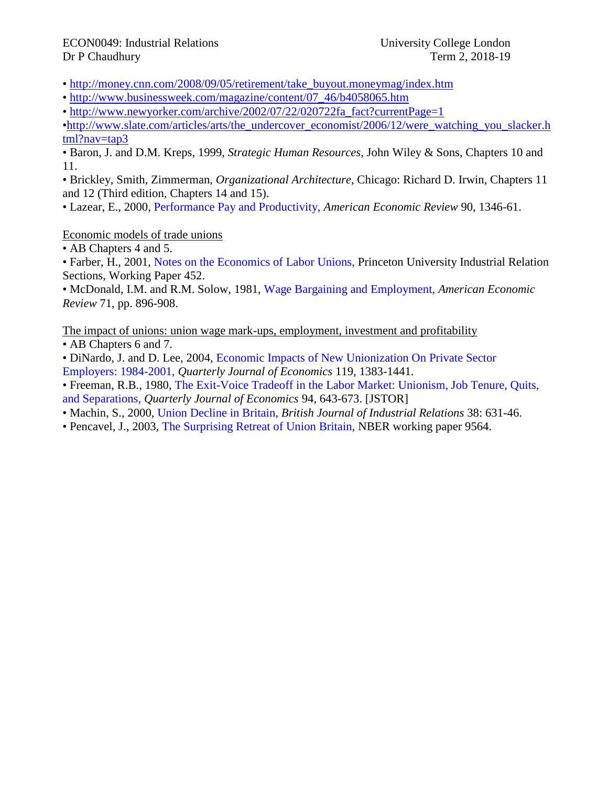#### ECON0049: Industrial Relations University College London Dr P Chaudhury Term 2, 2018-19

- • [http://money.cnn.com/2008/09/05/retirement/take\\_buyout.moneymag/index.htm](http://money.cnn.com/2008/09/05/retirement/take_buyout.moneymag/index.htm)
- • [http://www.businessweek.com/magazine/content/07\\_46/b4058065.htm](http://www.businessweek.com/magazine/content/07_46/b4058065.htm)
- • [http://www.newyorker.com/archive/2002/07/22/020722fa\\_fact?currentPage=1](http://www.newyorker.com/archive/2002/07/22/020722fa_fact?currentPage=1)

[•http://www.slate.com/articles/arts/the\\_undercover\\_economist/2006/12/were\\_watching\\_you\\_slacker.h](http://www.slate.com/articles/arts/the_undercover_economist/2006/12/were_watching_you_slacker.html?nav=tap3) [tml?nav=tap3](http://www.slate.com/articles/arts/the_undercover_economist/2006/12/were_watching_you_slacker.html?nav=tap3)

• Baron, J. and D.M. Kreps, 1999, *Strategic Human Resources*, John Wiley & Sons, Chapters 10 and 11.

• Brickley, Smith, Zimmerman, *Organizational Architecture*, Chicago: Richard D. Irwin, Chapters 11 and 12 (Third edition, Chapters 14 and 15).

• Lazear, E., 2000, Performance Pay and Productivity, *American Economic Review* 90, 1346-61.

# Economic models of trade unions

• AB Chapters 4 and 5.

• Farber, H., 2001, Notes on the Economics of Labor Unions, Princeton University Industrial Relation Sections, Working Paper 452.

• McDonald, I.M. and R.M. Solow, 1981, Wage Bargaining and Employment, *American Economic Review* 71, pp. 896-908.

The impact of unions: union wage mark-ups, employment, investment and profitability

• AB Chapters 6 and 7.

• DiNardo, J. and D. Lee, 2004, Economic Impacts of New Unionization On Private Sector Employers: 1984-2001, *Quarterly Journal of Economics* 119, 1383-1441.

• Freeman, R.B., 1980, The Exit-Voice Tradeoff in the Labor Market: Unionism, Job Tenure, Quits, and Separations, *Quarterly Journal of Economics* 94, 643-673. [JSTOR]

• Machin, S., 2000, Union Decline in Britain, *British Journal of Industrial Relations* 38: 631-46.

• Pencavel, J., 2003, The Surprising Retreat of Union Britain, NBER working paper 9564.